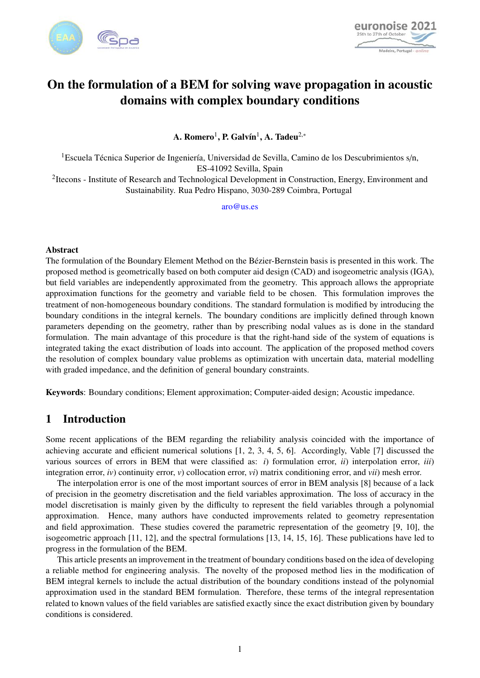



# On the formulation of a BEM for solving wave propagation in acoustic domains with complex boundary conditions

A. Romero<sup>1</sup>, P. Galvín<sup>1</sup>, A. Tadeu<sup>2,\*</sup>

<sup>1</sup>Escuela Técnica Superior de Ingeniería, Universidad de Sevilla, Camino de los Descubrimientos s/n, ES-41092 Sevilla, Spain <sup>2</sup>Itecons - Institute of Research and Technological Development in Construction, Energy, Environment and Sustainability. Rua Pedro Hispano, 3030-289 Coimbra, Portugal

aro@us.es

### Abstract

The formulation of the Boundary Element Method on the Bézier-Bernstein basis is presented in this work. The proposed method is geometrically based on both computer aid design (CAD) and isogeometric analysis (IGA), but field variables are independently approximated from the geometry. This approach allows the appropriate approximation functions for the geometry and variable field to be chosen. This formulation improves the treatment of non-homogeneous boundary conditions. The standard formulation is modified by introducing the boundary conditions in the integral kernels. The boundary conditions are implicitly defined through known parameters depending on the geometry, rather than by prescribing nodal values as is done in the standard formulation. The main advantage of this procedure is that the right-hand side of the system of equations is integrated taking the exact distribution of loads into account. The application of the proposed method covers the resolution of complex boundary value problems as optimization with uncertain data, material modelling with graded impedance, and the definition of general boundary constraints.

Keywords: Boundary conditions; Element approximation; Computer-aided design; Acoustic impedance.

## 1 Introduction

Some recent applications of the BEM regarding the reliability analysis coincided with the importance of achieving accurate and efficient numerical solutions [\[1,](#page-8-0) [2,](#page-8-1) [3,](#page-8-2) [4,](#page-8-3) [5,](#page-8-4) [6\]](#page-8-5). Accordingly, Vable [\[7\]](#page-8-6) discussed the various sources of errors in BEM that were classified as: *i*) formulation error, *ii*) interpolation error, *iii*) integration error, *iv*) continuity error, *v*) collocation error, *vi*) matrix conditioning error, and *vii*) mesh error.

The interpolation error is one of the most important sources of error in BEM analysis [\[8\]](#page-8-7) because of a lack of precision in the geometry discretisation and the field variables approximation. The loss of accuracy in the model discretisation is mainly given by the difficulty to represent the field variables through a polynomial approximation. Hence, many authors have conducted improvements related to geometry representation and field approximation. These studies covered the parametric representation of the geometry [\[9,](#page-8-8) [10\]](#page-8-9), the isogeometric approach [\[11,](#page-8-10) [12\]](#page-8-11), and the spectral formulations [\[13,](#page-8-12) [14,](#page-8-13) [15,](#page-8-14) [16\]](#page-8-15). These publications have led to progress in the formulation of the BEM.

This article presents an improvement in the treatment of boundary conditions based on the idea of developing a reliable method for engineering analysis. The novelty of the proposed method lies in the modification of BEM integral kernels to include the actual distribution of the boundary conditions instead of the polynomial approximation used in the standard BEM formulation. Therefore, these terms of the integral representation related to known values of the field variables are satisfied exactly since the exact distribution given by boundary conditions is considered.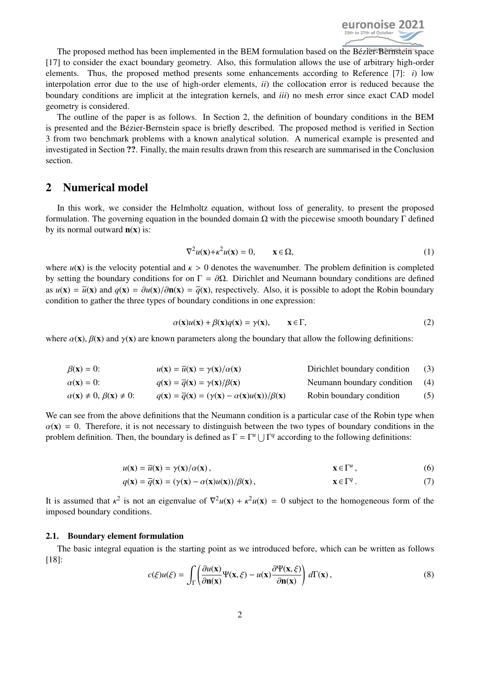The proposed method has been implemented in the BEM formulation based on the Bézier-Bernstein space [\[17\]](#page-8-16) to consider the exact boundary geometry. Also, this formulation allows the use of arbitrary high-order elements. Thus, the proposed method presents some enhancements according to Reference [\[7\]](#page-8-6): *i*) low interpolation error due to the use of high-order elements, *ii*) the collocation error is reduced because the boundary conditions are implicit at the integration kernels, and *iii*) no mesh error since exact CAD model geometry is considered.

The outline of the paper is as follows. In Section [2,](#page-1-0) the definition of boundary conditions in the BEM is presented and the Bézier-Bernstein space is briefly described. The proposed method is verified in Section [3](#page-5-0) from two benchmark problems with a known analytical solution. A numerical example is presented and investigated in Section ??. Finally, the main results drawn from this research are summarised in the Conclusion section.

## <span id="page-1-0"></span>2 Numerical model

In this work, we consider the Helmholtz equation, without loss of generality, to present the proposed formulation. The governing equation in the bounded domain Ω with the piecewise smooth boundary Γ defined by its normal outward  $n(x)$  is:

$$
\nabla^2 u(\mathbf{x}) + \kappa^2 u(\mathbf{x}) = 0, \qquad \mathbf{x} \in \Omega,
$$
 (1)

where  $u(x)$  is the velocity potential and  $k > 0$  denotes the wavenumber. The problem definition is completed by setting the boundary conditions for on  $\Gamma = \partial \Omega$ . Dirichlet and Neumann boundary conditions are defined as  $u(x) = \overline{u}(x)$  and  $q(x) = \frac{\partial u(x)}{\partial n(x)} = \overline{q}(x)$ , respectively. Also, it is possible to adopt the Robin boundary condition to gather the three types of boundary conditions in one expression:

$$
\alpha(\mathbf{x})u(\mathbf{x}) + \beta(\mathbf{x})q(\mathbf{x}) = \gamma(\mathbf{x}), \qquad \mathbf{x} \in \Gamma,
$$
\n(2)

<span id="page-1-2"></span>where  $\alpha(x)$ ,  $\beta(x)$  and  $\gamma(x)$  are known parameters along the boundary that allow the following definitions:

| $\beta(\mathbf{x})=0$ :                                 | $u(\mathbf{x}) = \overline{u}(\mathbf{x}) = \gamma(\mathbf{x})/\alpha(\mathbf{x})$                                    | Dirichlet boundary condition | (3) |
|---------------------------------------------------------|-----------------------------------------------------------------------------------------------------------------------|------------------------------|-----|
| $\alpha(\mathbf{x}) = 0$ :                              | $q(\mathbf{x}) = \overline{q}(\mathbf{x}) = \gamma(\mathbf{x})/\beta(\mathbf{x})$                                     | Neumann boundary condition   | (4) |
| $\alpha(\mathbf{x}) \neq 0, \beta(\mathbf{x}) \neq 0$ : | $q(\mathbf{x}) = \overline{q}(\mathbf{x}) = (\gamma(\mathbf{x}) - \alpha(\mathbf{x})u(\mathbf{x}))/\beta(\mathbf{x})$ | Robin boundary condition     | (5) |

We can see from the above definitions that the Neumann condition is a particular case of the Robin type when  $\alpha(x) = 0$ . Therefore, it is not necessary to distinguish between the two types of boundary conditions in the problem definition. Then, the boundary is defined as  $\Gamma = \Gamma^u \cup \Gamma^q$  according to the following definitions:

$$
u(\mathbf{x}) = \overline{u}(\mathbf{x}) = \gamma(\mathbf{x})/\alpha(\mathbf{x}), \qquad \mathbf{x} \in \Gamma^u, \tag{6}
$$

$$
q(\mathbf{x}) = \overline{q}(\mathbf{x}) = (\gamma(\mathbf{x}) - \alpha(\mathbf{x})u(\mathbf{x}))/\beta(\mathbf{x}), \qquad \mathbf{x} \in \Gamma^q.
$$
 (7)

It is assumed that  $\kappa^2$  is not an eigenvalue of  $\nabla^2 u(\mathbf{x}) + \kappa^2 u(\mathbf{x}) = 0$  subject to the homogeneous form of the imposed boundary conditions.

### 2.1. Boundary element formulation

<span id="page-1-1"></span>The basic integral equation is the starting point as we introduced before, which can be written as follows [\[18\]](#page-9-0):

$$
c(\xi)u(\xi) = \int_{\Gamma} \left( \frac{\partial u(\mathbf{x})}{\partial \mathbf{n}(\mathbf{x})} \Psi(\mathbf{x}, \xi) - u(\mathbf{x}) \frac{\partial \Psi(\mathbf{x}, \xi)}{\partial \mathbf{n}(\mathbf{x})} \right) d\Gamma(\mathbf{x}), \tag{8}
$$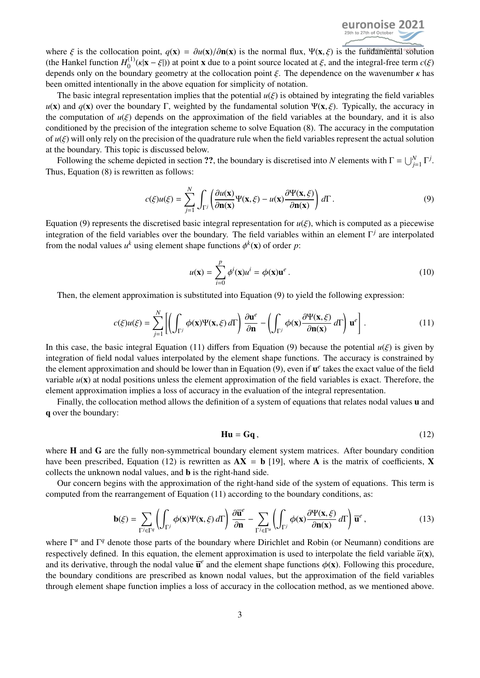

where  $\xi$  is the collocation point,  $q(x) = \partial u(x)/\partial n(x)$  is the normal flux,  $\Psi(x, \xi)$  is the fundamental solution (the Hankel function  $H_0^{(1)}$ ) (<sup>1)</sup>( $\kappa$ |**x** − ξ|)) at point **x** due to a point source located at  $\xi$ , and the integral-free term  $c(\xi)$ <br>and ary geometry at the collocation point  $\xi$ . The dependence on the wavenumber  $\kappa$  has depends only on the boundary geometry at the collocation point  $\xi$ . The dependence on the wavenumber  $\kappa$  has been omitted intentionally in the above equation for simplicity of notation.

The basic integral representation implies that the potential  $u(\xi)$  is obtained by integrating the field variables  $u(x)$  and  $q(x)$  over the boundary Γ, weighted by the fundamental solution Ψ(x, ξ). Typically, the accuracy in the computation of  $u(\xi)$  depends on the approximation of the field variables at the boundary, and it is also conditioned by the precision of the integration scheme to solve Equation [\(8\)](#page-1-1). The accuracy in the computation of  $u(\xi)$  will only rely on the precision of the quadrature rule when the field variables represent the actual solution at the boundary. This topic is discussed below.

<span id="page-2-0"></span>Following the scheme depicted in section ??, the boundary is discretised into *N* elements with  $\Gamma = \bigcup_{j=1}^{N} \Gamma^{j}$ . Thus, Equation [\(8\)](#page-1-1) is rewritten as follows:

$$
c(\xi)u(\xi) = \sum_{j=1}^{N} \int_{\Gamma^j} \left( \frac{\partial u(\mathbf{x})}{\partial \mathbf{n}(\mathbf{x})} \Psi(\mathbf{x}, \xi) - u(\mathbf{x}) \frac{\partial \Psi(\mathbf{x}, \xi)}{\partial \mathbf{n}(\mathbf{x})} \right) d\Gamma.
$$
 (9)

<span id="page-2-4"></span>Equation [\(9\)](#page-2-0) represents the discretised basic integral representation for  $u(\xi)$ , which is computed as a piecewise integration of the field variables over the boundary. The field variables within an element Γ *j* are interpolated from the nodal values  $u^k$  using element shape functions  $\phi^k(\mathbf{x})$  of order *p*:

$$
u(\mathbf{x}) = \sum_{i=0}^{p} \phi^{i}(\mathbf{x})u^{i} = \phi(\mathbf{x})\mathbf{u}^{e}.
$$
 (10)

<span id="page-2-1"></span>Then, the element approximation is substituted into Equation [\(9\)](#page-2-0) to yield the following expression:

$$
c(\xi)u(\xi) = \sum_{j=1}^{N} \left[ \left( \int_{\Gamma^j} \phi(\mathbf{x}) \Psi(\mathbf{x}, \xi) d\Gamma \right) \frac{\partial \mathbf{u}^e}{\partial \mathbf{n}} - \left( \int_{\Gamma^j} \phi(\mathbf{x}) \frac{\partial \Psi(\mathbf{x}, \xi)}{\partial \mathbf{n}(\mathbf{x})} d\Gamma \right) \mathbf{u}^e \right].
$$
 (11)

In this case, the basic integral Equation [\(11\)](#page-2-1) differs from Equation [\(9\)](#page-2-0) because the potential  $u(\xi)$  is given by integration of field nodal values interpolated by the element shape functions. The accuracy is constrained by the element approximation and should be lower than in Equation [\(9\)](#page-2-0), even if u *e* takes the exact value of the field variable *u*(x) at nodal positions unless the element approximation of the field variables is exact. Therefore, the element approximation implies a loss of accuracy in the evaluation of the integral representation.

<span id="page-2-2"></span>Finally, the collocation method allows the definition of a system of equations that relates nodal values u and q over the boundary:

$$
\mathbf{Hu} = \mathbf{Gq},\tag{12}
$$

where H and G are the fully non-symmetrical boundary element system matrices. After boundary condition have been prescribed, Equation [\(12\)](#page-2-2) is rewritten as  $AX = b$  [\[19\]](#page-9-1), where A is the matrix of coefficients, X collects the unknown nodal values, and b is the right-hand side.

<span id="page-2-3"></span>Our concern begins with the approximation of the right-hand side of the system of equations. This term is computed from the rearrangement of Equation [\(11\)](#page-2-1) according to the boundary conditions, as:

$$
\mathbf{b}(\xi) = \sum_{\Gamma' \in \Gamma^q} \left( \int_{\Gamma'} \phi(\mathbf{x}) \Psi(\mathbf{x}, \xi) d\Gamma \right) \frac{\partial \overline{\mathbf{u}}^e}{\partial \mathbf{n}} - \sum_{\Gamma' \in \Gamma^u} \left( \int_{\Gamma'} \phi(\mathbf{x}) \frac{\partial \Psi(\mathbf{x}, \xi)}{\partial \mathbf{n}(\mathbf{x})} d\Gamma \right) \overline{\mathbf{u}}^e, \tag{13}
$$

where Γ<sup>*u*</sup> and Γ<sup>*q*</sup> denote those parts of the boundary where Dirichlet and Robin (or Neumann) conditions are respectively defined. In this equation, the element approximation is used to interpolate the field variable  $\bar{u}(x)$ , and its derivative, through the nodal value  $\overline{u}^e$  and the element shape functions  $\phi(x)$ . Following this procedure, the boundary conditions are prescribed as known nodal values, but the approximation of the field variables through element shape function implies a loss of accuracy in the collocation method, as we mentioned above.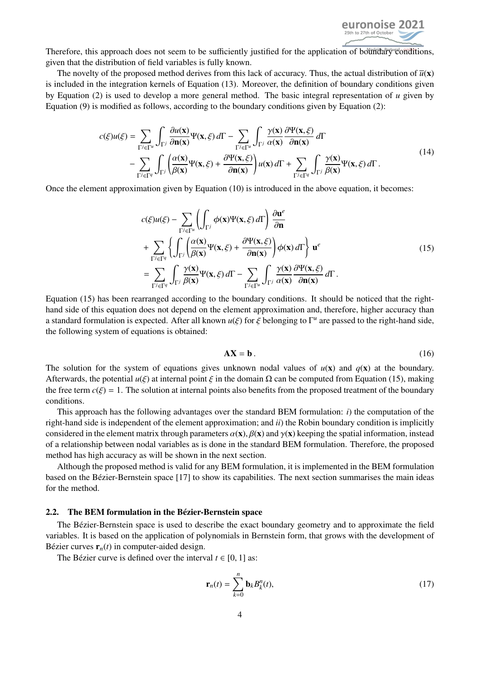

Therefore, this approach does not seem to be sufficiently justified for the application of boundary conditions, given that the distribution of field variables is fully known.

The novelty of the proposed method derives from this lack of accuracy. Thus, the actual distribution of  $\bar{u}(\bf{x})$ is included in the integration kernels of Equation [\(13\)](#page-2-3). Moreover, the definition of boundary conditions given by Equation [\(2\)](#page-1-2) is used to develop a more general method. The basic integral representation of *u* given by Equation [\(9\)](#page-2-0) is modified as follows, according to the boundary conditions given by Equation [\(2\)](#page-1-2):

$$
c(\xi)u(\xi) = \sum_{\Gamma^{j}\in\Gamma^{u}} \int_{\Gamma^{j}} \frac{\partial u(\mathbf{x})}{\partial \mathbf{n}(\mathbf{x})} \Psi(\mathbf{x}, \xi) d\Gamma - \sum_{\Gamma^{j}\in\Gamma^{u}} \int_{\Gamma^{j}} \frac{\gamma(\mathbf{x})}{\alpha(\mathbf{x})} \frac{\partial \Psi(\mathbf{x}, \xi)}{\partial \mathbf{n}(\mathbf{x})} d\Gamma - \sum_{\Gamma^{j}\in\Gamma^{q}} \int_{\Gamma^{j}} \left(\frac{\alpha(\mathbf{x})}{\beta(\mathbf{x})} \Psi(\mathbf{x}, \xi) + \frac{\partial \Psi(\mathbf{x}, \xi)}{\partial \mathbf{n}(\mathbf{x})}\right) u(\mathbf{x}) d\Gamma + \sum_{\Gamma^{j}\in\Gamma^{q}} \int_{\Gamma^{j}} \frac{\gamma(\mathbf{x})}{\beta(\mathbf{x})} \Psi(\mathbf{x}, \xi) d\Gamma.
$$
 (14)

<span id="page-3-0"></span>Once the element approximation given by Equation [\(10\)](#page-2-4) is introduced in the above equation, it becomes:

$$
c(\xi)u(\xi) - \sum_{\Gamma^j \in \Gamma^u} \left( \int_{\Gamma^j} \phi(\mathbf{x}) \Psi(\mathbf{x}, \xi) d\Gamma \right) \frac{\partial \mathbf{u}^e}{\partial \mathbf{n}} + \sum_{\Gamma^j \in \Gamma^q} \left\{ \int_{\Gamma^j} \left( \frac{\alpha(\mathbf{x})}{\beta(\mathbf{x})} \Psi(\mathbf{x}, \xi) + \frac{\partial \Psi(\mathbf{x}, \xi)}{\partial \mathbf{n}(\mathbf{x})} \right) \phi(\mathbf{x}) d\Gamma \right\} \mathbf{u}^e = \sum_{\Gamma^j \in \Gamma^q} \int_{\Gamma^j} \frac{\gamma(\mathbf{x})}{\beta(\mathbf{x})} \Psi(\mathbf{x}, \xi) d\Gamma - \sum_{\Gamma^j \in \Gamma^u} \int_{\Gamma^j} \frac{\gamma(\mathbf{x})}{\alpha(\mathbf{x})} \frac{\partial \Psi(\mathbf{x}, \xi)}{\partial \mathbf{n}(\mathbf{x})} d\Gamma.
$$
 (15)

Equation [\(15\)](#page-3-0) has been rearranged according to the boundary conditions. It should be noticed that the righthand side of this equation does not depend on the element approximation and, therefore, higher accuracy than a standard formulation is expected. After all known  $u(\xi)$  for  $\xi$  belonging to  $\Gamma^u$  are passed to the right-hand side,<br>the following system of equations is obtained: the following system of equations is obtained:

$$
AX = b.
$$
 (16)

The solution for the system of equations gives unknown nodal values of  $u(x)$  and  $q(x)$  at the boundary. Afterwards, the potential  $u(\xi)$  at internal point  $\xi$  in the domain  $\Omega$  can be computed from Equation [\(15\)](#page-3-0), making the free term  $c(\xi) = 1$ . The solution at internal points also benefits from the proposed treatment of the boundary conditions.

This approach has the following advantages over the standard BEM formulation: *i*) the computation of the right-hand side is independent of the element approximation; and *ii*) the Robin boundary condition is implicitly considered in the element matrix through parameters  $\alpha(x)$ ,  $\beta(x)$  and  $\gamma(x)$  keeping the spatial information, instead of a relationship between nodal variables as is done in the standard BEM formulation. Therefore, the proposed method has high accuracy as will be shown in the next section.

Although the proposed method is valid for any BEM formulation, it is implemented in the BEM formulation based on the Bézier-Bernstein space [\[17\]](#page-8-16) to show its capabilities. The next section summarises the main ideas for the method.

#### <span id="page-3-2"></span>2.2. The BEM formulation in the Bézier-Bernstein space

The Bézier-Bernstein space is used to describe the exact boundary geometry and to approximate the field variables. It is based on the application of polynomials in Bernstein form, that grows with the development of Bézier curves  $\mathbf{r}_n(t)$  in computer-aided design.

<span id="page-3-1"></span>The Bézier curve is defined over the interval  $t \in [0, 1]$  as:

$$
\mathbf{r}_n(t) = \sum_{k=0}^n \mathbf{b}_k B_k^n(t),\tag{17}
$$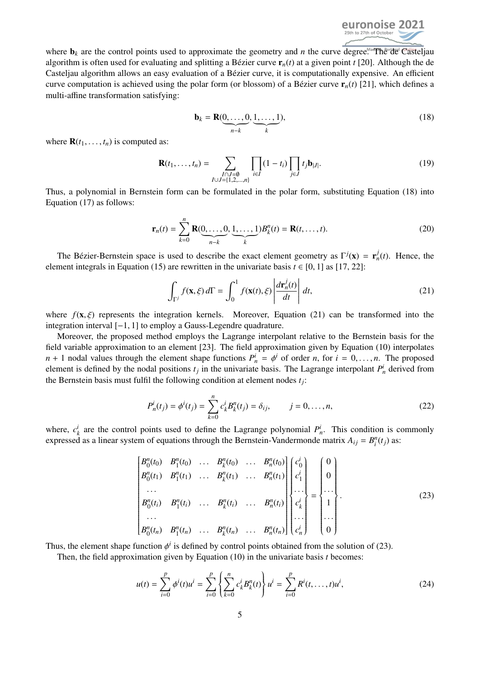

where  $\mathbf{b}_k$  are the control points used to approximate the geometry and *n* the curve degree.<sup>Martin</sup>e de Casteljau algorithm is often used for evaluating and splitting a Bézier curve  $\mathbf{r}_n(t)$  at a given point *t* [\[20\]](#page-9-2). Although the de Casteljau algorithm allows an easy evaluation of a Bézier curve, it is computationally expensive. An efficient curve computation is achieved using the polar form (or blossom) of a Bézier curve  $\mathbf{r}_n(t)$  [\[21\]](#page-9-3), which defines a multi-affine transformation satisfying:

$$
\mathbf{b}_k = \mathbf{R}(\underbrace{0, \dots, 0}_{n-k}, \underbrace{1, \dots, 1}_{k}),
$$
\n(18)

<span id="page-4-3"></span><span id="page-4-0"></span>where  $\mathbf{R}(t_1, \ldots, t_n)$  is computed as:

$$
\mathbf{R}(t_1, ..., t_n) = \sum_{\substack{I \cap J = \emptyset \\ I \cup J = \{1, 2, ..., n\}}} \prod_{i \in I} (1 - t_i) \prod_{j \in J} t_j \mathbf{b}_{|J|}.
$$
(19)

<span id="page-4-4"></span>Thus, a polynomial in Bernstein form can be formulated in the polar form, substituting Equation [\(18\)](#page-4-0) into Equation [\(17\)](#page-3-1) as follows:

$$
\mathbf{r}_n(t) = \sum_{k=0}^n \mathbf{R}(\underbrace{0, \dots, 0}_{n-k}, \underbrace{1, \dots, 1}_{k}) B_k^n(t) = \mathbf{R}(t, \dots, t).
$$
 (20)

The Bézier-Bernstein space is used to describe the exact element geometry as  $\Gamma^j(\mathbf{x}) = \mathbf{r}_n^j(t)$ . Hence, the element integrals in Equation [\(15\)](#page-3-0) are rewritten in the univariate basis  $t \in [0, 1]$  as [\[17,](#page-8-16) [22\]](#page-9-4):

<span id="page-4-1"></span>
$$
\int_{\Gamma^j} f(\mathbf{x}, \xi) d\Gamma = \int_0^1 f(\mathbf{x}(t), \xi) \left| \frac{d\mathbf{r}_n^j(t)}{dt} \right| dt,
$$
\n(21)

where  $f(x, \xi)$  represents the integration kernels. Moreover, Equation [\(21\)](#page-4-1) can be transformed into the integration interval [−1, 1] to employ a Gauss-Legendre quadrature.

Moreover, the proposed method employs the Lagrange interpolant relative to the Bernstein basis for the field variable approximation to an element [\[23\]](#page-9-5). The field approximation given by Equation [\(10\)](#page-2-4) interpolates *n* + 1 nodal values through the element shape functions  $P_n^i = \phi^i$  of order *n*, for  $i = 0, \ldots, n$ . The proposed element is defined by the nodal positions *t*, in the universite basis. The Lagrange interpolant  $P^i$  deri element is defined by the nodal positions  $t_j$  in the univariate basis. The Lagrange interpolant  $P_n^i$  derived from the Bernstein basis must fulfil the following condition at element nodes *t<sup>j</sup>* :

$$
P_n^i(t_j) = \phi^i(t_j) = \sum_{k=0}^n c_k^i B_k^n(t_j) = \delta_{ij}, \qquad j = 0, ..., n,
$$
 (22)

<span id="page-4-2"></span>where,  $c_k^i$  are the control points used to define the Lagrange polynomial  $P_n^i$ . This condition is commonly expressed as a linear system of equations through the Bernstein-Vandermonde matrix  $A_{ij} = B_i^n(t_j)$  as:

$$
\begin{bmatrix} B_0^n(t_0) & B_1^n(t_0) & \dots & B_k^n(t_0) & \dots & B_n^n(t_0) \\ B_0^n(t_1) & B_1^n(t_1) & \dots & B_k^n(t_1) & \dots & B_n^n(t_1) \\ \dots \\ B_0^n(t_i) & B_1^n(t_i) & \dots & B_k^n(t_i) & \dots & B_n^n(t_i) \\ \dots \\ B_0^n(t_n) & B_1^n(t_n) & \dots & B_k^n(t_n) & \dots & B_n^n(t_n) \end{bmatrix} \begin{bmatrix} c_0^i \\ c_1^i \\ \dots \\ c_k^i \\ \dots \\ c_n^i \end{bmatrix} = \begin{bmatrix} 0 \\ 0 \\ \dots \\ 1 \\ \dots \\ 0 \end{bmatrix}.
$$
 (23)

Thus, the element shape function  $\phi^i$  is defined by control points obtained from the solution of [\(23\)](#page-4-2).<br>Then the field approximation given by Equation (10) in the univariate basis t becomes:

<span id="page-4-5"></span>Then, the field approximation given by Equation [\(10\)](#page-2-4) in the univariate basis *t* becomes:

$$
u(t) = \sum_{i=0}^{p} \phi^{i}(t)u^{i} = \sum_{i=0}^{p} \left\{ \sum_{k=0}^{n} c_{k}^{i} B_{k}^{n}(t) \right\} u^{i} = \sum_{i=0}^{p} R^{i}(t, \dots, t)u^{i},
$$
\n(24)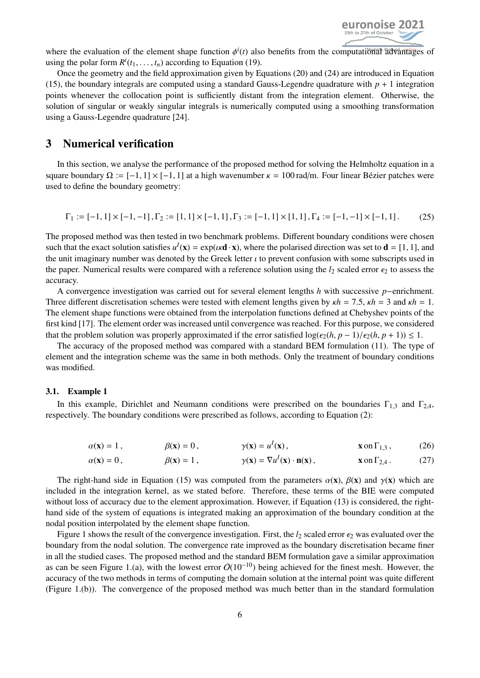

where the evaluation of the element shape function  $\phi^i(t)$  also benefits from the computational advantages of using the polar form  $P^i(t, t)$  according to Equation (10) using the polar form  $R^i(t_1, \ldots, t_n)$  according to Equation [\(19\)](#page-4-3).<br>Once the geometry and the field approximation given by E

Once the geometry and the field approximation given by Equations [\(20\)](#page-4-4) and [\(24\)](#page-4-5) are introduced in Equation [\(15\)](#page-3-0), the boundary integrals are computed using a standard Gauss-Legendre quadrature with  $p + 1$  integration points whenever the collocation point is sufficiently distant from the integration element. Otherwise, the solution of singular or weakly singular integrals is numerically computed using a smoothing transformation using a Gauss-Legendre quadrature [\[24\]](#page-9-6).

## <span id="page-5-0"></span>3 Numerical verification

In this section, we analyse the performance of the proposed method for solving the Helmholtz equation in a square boundary  $\Omega := [-1, 1] \times [-1, 1]$  at a high wavenumber  $\kappa = 100$  rad/m. Four linear Bézier patches were used to define the boundary geometry:

$$
\Gamma_1 := [-1, 1] \times [-1, -1], \Gamma_2 := [1, 1] \times [-1, 1], \Gamma_3 := [-1, 1] \times [1, 1], \Gamma_4 := [-1, -1] \times [-1, 1]. \tag{25}
$$

The proposed method was then tested in two benchmark problems. Different boundary conditions were chosen such that the exact solution satisfies  $u^I(\mathbf{x}) = \exp(i\kappa \mathbf{d} \cdot \mathbf{x})$ , where the polarised direction was set to  $\mathbf{d} = [1, 1]$ , and the unit imaginary number was denoted by the Greek letter *t* to prevent confusion with the unit imaginary number was denoted by the Greek letter  $\iota$  to prevent confusion with some subscripts used in the paper. Numerical results were compared with a reference solution using the  $l_2$  scaled error  $\epsilon_2$  to assess the accuracy.

A convergence investigation was carried out for several element lengths *h* with successive *p*−enrichment. Three different discretisation schemes were tested with element lengths given by κ*<sup>h</sup>* <sup>=</sup> <sup>7</sup>.5, κ*<sup>h</sup>* <sup>=</sup> 3 and κ*<sup>h</sup>* <sup>=</sup> 1. The element shape functions were obtained from the interpolation functions defined at Chebyshev points of the first kind [\[17\]](#page-8-16). The element order was increased until convergence was reached. For this purpose, we considered that the problem solution was properly approximated if the error satisfied  $\log(\epsilon_2(h, p-1)/\epsilon_2(h, p+1)) \leq 1$ .

The accuracy of the proposed method was compared with a standard BEM formulation [\(11\)](#page-2-1). The type of element and the integration scheme was the same in both methods. Only the treatment of boundary conditions was modified.

### 3.1. Example 1

In this example, Dirichlet and Neumann conditions were prescribed on the boundaries  $\Gamma_{1,3}$  and  $\Gamma_{2,4}$ , respectively. The boundary conditions were prescribed as follows, according to Equation [\(2\)](#page-1-2):

$$
\alpha(\mathbf{x}) = 1, \qquad \beta(\mathbf{x}) = 0, \qquad \gamma(\mathbf{x}) = u^I(\mathbf{x}), \qquad \mathbf{x} \text{ on } \Gamma_{1,3}, \qquad (26)
$$

$$
\alpha(\mathbf{x}) = 0, \qquad \beta(\mathbf{x}) = 1, \qquad \gamma(\mathbf{x}) = \nabla u^{I}(\mathbf{x}) \cdot \mathbf{n}(\mathbf{x}), \qquad \mathbf{x} \text{ on } \Gamma_{2,4}. \qquad (27)
$$

The right-hand side in Equation [\(15\)](#page-3-0) was computed from the parameters  $\alpha(\mathbf{x})$ ,  $\beta(\mathbf{x})$  and  $\gamma(\mathbf{x})$  which are included in the integration kernel, as we stated before. Therefore, these terms of the BIE were computed without loss of accuracy due to the element approximation. However, if Equation [\(13\)](#page-2-3) is considered, the righthand side of the system of equations is integrated making an approximation of the boundary condition at the nodal position interpolated by the element shape function.

Figure [1](#page-6-0) shows the result of the convergence investigation. First, the  $l_2$  scaled error  $\epsilon_2$  was evaluated over the boundary from the nodal solution. The convergence rate improved as the boundary discretisation became finer in all the studied cases. The proposed method and the standard BEM formulation gave a similar approximation as can be seen Figure [1.](#page-6-0)(a), with the lowest error  $O(10^{-10})$  being achieved for the finest mesh. However, the accuracy of the two methods in terms of computing the domain solution at the internal point was quite different (Figure [1.](#page-6-0)(b)). The convergence of the proposed method was much better than in the standard formulation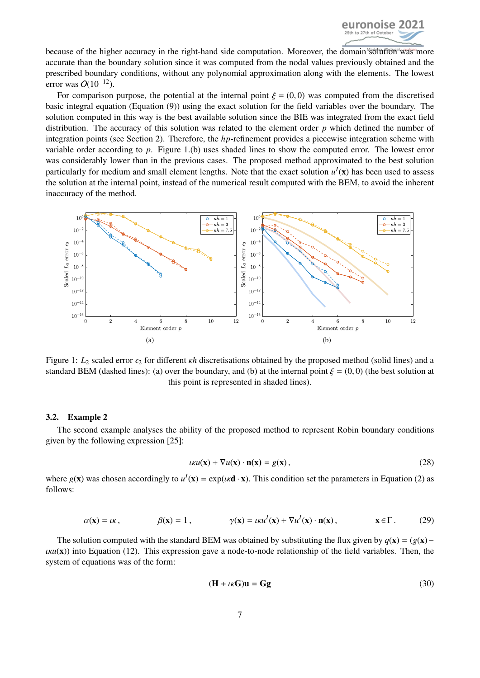

because of the higher accuracy in the right-hand side computation. Moreover, the domain solution was more accurate than the boundary solution since it was computed from the nodal values previously obtained and the prescribed boundary conditions, without any polynomial approximation along with the elements. The lowest error was  $O(10^{-12})$ .

For comparison purpose, the potential at the internal point  $\xi = (0,0)$  was computed from the discretised basic integral equation (Equation [\(9\)](#page-2-0)) using the exact solution for the field variables over the boundary. The solution computed in this way is the best available solution since the BIE was integrated from the exact field distribution. The accuracy of this solution was related to the element order *p* which defined the number of integration points (see Section [2\)](#page-3-2). Therefore, the *hp*-refinement provides a piecewise integration scheme with variable order according to *p*. Figure [1.](#page-6-0)(b) uses shaded lines to show the computed error. The lowest error was considerably lower than in the previous cases. The proposed method approximated to the best solution particularly for medium and small element lengths. Note that the exact solution  $u^I(x)$  has been used to assess the solution at the internal point, instead of the numerical result computed with the BEM, to avoid the inherent inaccuracy of the method.

<span id="page-6-0"></span>

Figure 1:  $L_2$  scaled error  $\epsilon_2$  for different *kh* discretisations obtained by the proposed method (solid lines) and a standard BEM (dashed lines): (a) over the boundary, and (b) at the internal point  $\xi = (0,0)$  (the best solution at this point is represented in shaded lines).

#### 3.2. Example 2

The second example analyses the ability of the proposed method to represent Robin boundary conditions given by the following expression [\[25\]](#page-9-7):

$$
u\kappa u(\mathbf{x}) + \nabla u(\mathbf{x}) \cdot \mathbf{n}(\mathbf{x}) = g(\mathbf{x}),\tag{28}
$$

where  $g(\mathbf{x})$  was chosen accordingly to  $u^I(\mathbf{x}) = \exp(i\kappa \mathbf{d} \cdot \mathbf{x})$ . This condition set the parameters in Equation [\(2\)](#page-1-2) as follows: follows:

$$
\alpha(\mathbf{x}) = \iota \kappa, \qquad \beta(\mathbf{x}) = 1, \qquad \gamma(\mathbf{x}) = \iota \kappa u^{I}(\mathbf{x}) + \nabla u^{I}(\mathbf{x}) \cdot \mathbf{n}(\mathbf{x}), \qquad \mathbf{x} \in \Gamma. \tag{29}
$$

The solution computed with the standard BEM was obtained by substituting the flux given by  $q(x) = (g(x) - g(x))$  $\iota$ *ku*(x)) into Equation [\(12\)](#page-2-2). This expression gave a node-to-node relationship of the field variables. Then, the system of equations was of the form:

$$
(\mathbf{H} + \iota \kappa \mathbf{G})\mathbf{u} = \mathbf{G}\mathbf{g}
$$
 (30)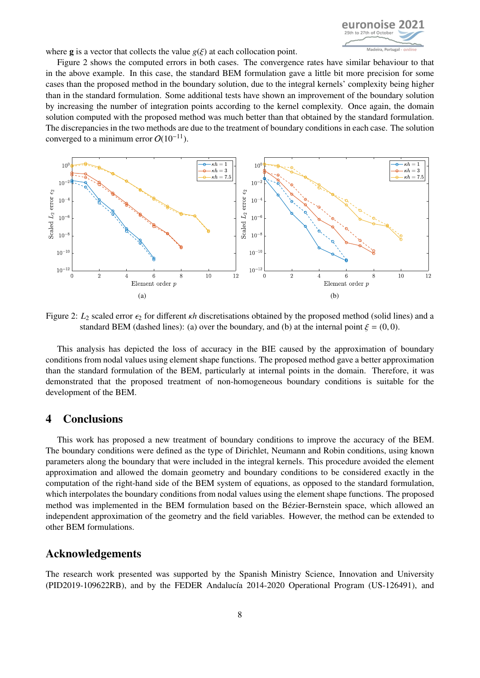

where **g** is a vector that collects the value  $g(\xi)$  at each collocation point.

Figure [2](#page-7-0) shows the computed errors in both cases. The convergence rates have similar behaviour to that in the above example. In this case, the standard BEM formulation gave a little bit more precision for some cases than the proposed method in the boundary solution, due to the integral kernels' complexity being higher than in the standard formulation. Some additional tests have shown an improvement of the boundary solution by increasing the number of integration points according to the kernel complexity. Once again, the domain solution computed with the proposed method was much better than that obtained by the standard formulation. The discrepancies in the two methods are due to the treatment of boundary conditions in each case. The solution converged to a minimum error  $O(10^{-11})$ .

<span id="page-7-0"></span>

Figure 2:  $L_2$  scaled error  $\epsilon_2$  for different *kh* discretisations obtained by the proposed method (solid lines) and a standard BEM (dashed lines): (a) over the boundary, and (b) at the internal point  $\xi = (0, 0)$ .

This analysis has depicted the loss of accuracy in the BIE caused by the approximation of boundary conditions from nodal values using element shape functions. The proposed method gave a better approximation than the standard formulation of the BEM, particularly at internal points in the domain. Therefore, it was demonstrated that the proposed treatment of non-homogeneous boundary conditions is suitable for the development of the BEM.

## 4 Conclusions

This work has proposed a new treatment of boundary conditions to improve the accuracy of the BEM. The boundary conditions were defined as the type of Dirichlet, Neumann and Robin conditions, using known parameters along the boundary that were included in the integral kernels. This procedure avoided the element approximation and allowed the domain geometry and boundary conditions to be considered exactly in the computation of the right-hand side of the BEM system of equations, as opposed to the standard formulation, which interpolates the boundary conditions from nodal values using the element shape functions. The proposed method was implemented in the BEM formulation based on the Bézier-Bernstein space, which allowed an independent approximation of the geometry and the field variables. However, the method can be extended to other BEM formulations.

## Acknowledgements

The research work presented was supported by the Spanish Ministry Science, Innovation and University (PID2019-109622RB), and by the FEDER Andalucía 2014-2020 Operational Program (US-126491), and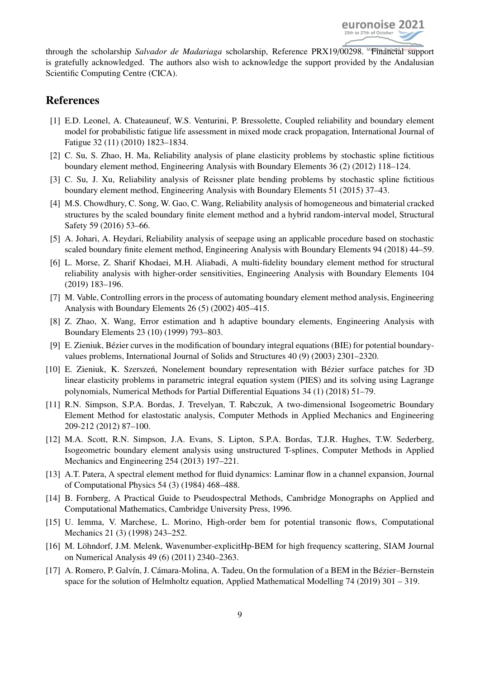through the scholarship *Salvador de Madariaga* scholarship, Reference PRX19/00298. Financial support is gratefully acknowledged. The authors also wish to acknowledge the support provided by the Andalusian Scientific Computing Centre (CICA).

## References

- <span id="page-8-0"></span>[1] E.D. Leonel, A. Chateauneuf, W.S. Venturini, P. Bressolette, Coupled reliability and boundary element model for probabilistic fatigue life assessment in mixed mode crack propagation, International Journal of Fatigue 32 (11) (2010) 1823–1834.
- <span id="page-8-1"></span>[2] C. Su, S. Zhao, H. Ma, Reliability analysis of plane elasticity problems by stochastic spline fictitious boundary element method, Engineering Analysis with Boundary Elements 36 (2) (2012) 118–124.
- <span id="page-8-2"></span>[3] C. Su, J. Xu, Reliability analysis of Reissner plate bending problems by stochastic spline fictitious boundary element method, Engineering Analysis with Boundary Elements 51 (2015) 37–43.
- <span id="page-8-3"></span>[4] M.S. Chowdhury, C. Song, W. Gao, C. Wang, Reliability analysis of homogeneous and bimaterial cracked structures by the scaled boundary finite element method and a hybrid random-interval model, Structural Safety 59 (2016) 53–66.
- <span id="page-8-4"></span>[5] A. Johari, A. Heydari, Reliability analysis of seepage using an applicable procedure based on stochastic scaled boundary finite element method, Engineering Analysis with Boundary Elements 94 (2018) 44–59.
- <span id="page-8-5"></span>[6] L. Morse, Z. Sharif Khodaei, M.H. Aliabadi, A multi-fidelity boundary element method for structural reliability analysis with higher-order sensitivities, Engineering Analysis with Boundary Elements 104 (2019) 183–196.
- <span id="page-8-6"></span>[7] M. Vable, Controlling errors in the process of automating boundary element method analysis, Engineering Analysis with Boundary Elements 26 (5) (2002) 405–415.
- <span id="page-8-7"></span>[8] Z. Zhao, X. Wang, Error estimation and h adaptive boundary elements, Engineering Analysis with Boundary Elements 23 (10) (1999) 793–803.
- <span id="page-8-8"></span>[9] E. Zieniuk, Bézier curves in the modification of boundary integral equations (BIE) for potential boundaryvalues problems, International Journal of Solids and Structures 40 (9) (2003) 2301–2320.
- <span id="page-8-9"></span>[10] E. Zieniuk, K. Szerszeń, Nonelement boundary representation with Bézier surface patches for 3D linear elasticity problems in parametric integral equation system (PIES) and its solving using Lagrange polynomials, Numerical Methods for Partial Differential Equations 34 (1) (2018) 51–79.
- <span id="page-8-10"></span>[11] R.N. Simpson, S.P.A. Bordas, J. Trevelyan, T. Rabczuk, A two-dimensional Isogeometric Boundary Element Method for elastostatic analysis, Computer Methods in Applied Mechanics and Engineering 209-212 (2012) 87–100.
- <span id="page-8-11"></span>[12] M.A. Scott, R.N. Simpson, J.A. Evans, S. Lipton, S.P.A. Bordas, T.J.R. Hughes, T.W. Sederberg, Isogeometric boundary element analysis using unstructured T-splines, Computer Methods in Applied Mechanics and Engineering 254 (2013) 197–221.
- <span id="page-8-12"></span>[13] A.T. Patera, A spectral element method for fluid dynamics: Laminar flow in a channel expansion, Journal of Computational Physics 54 (3) (1984) 468–488.
- <span id="page-8-13"></span>[14] B. Fornberg, A Practical Guide to Pseudospectral Methods, Cambridge Monographs on Applied and Computational Mathematics, Cambridge University Press, 1996.
- <span id="page-8-14"></span>[15] U. Iemma, V. Marchese, L. Morino, High-order bem for potential transonic flows, Computational Mechanics 21 (3) (1998) 243–252.
- <span id="page-8-15"></span>[16] M. Löhndorf, J.M. Melenk, Wavenumber-explicitHp-BEM for high frequency scattering, SIAM Journal on Numerical Analysis 49 (6) (2011) 2340–2363.
- <span id="page-8-16"></span>[17] A. Romero, P. Galvín, J. Cámara-Molina, A. Tadeu, On the formulation of a BEM in the Bézier–Bernstein space for the solution of Helmholtz equation, Applied Mathematical Modelling 74 (2019) 301 – 319.